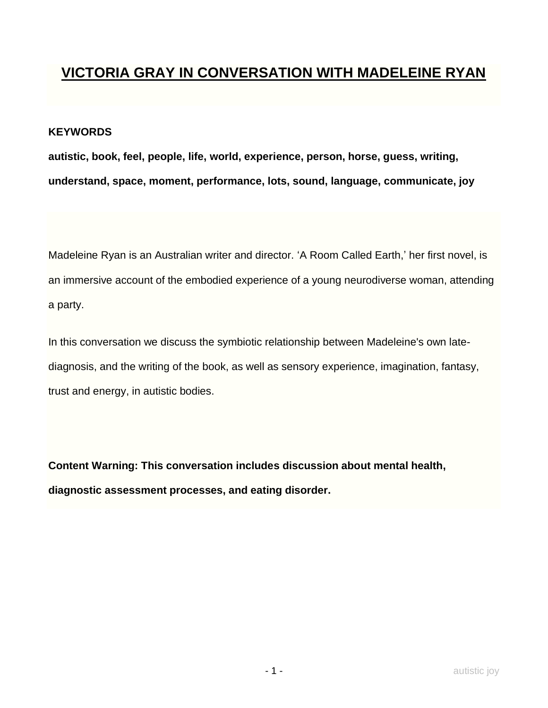## **VICTORIA GRAY IN CONVERSATION WITH MADELEINE RYAN**

## **KEYWORDS**

**autistic, book, feel, people, life, world, experience, person, horse, guess, writing, understand, space, moment, performance, lots, sound, language, communicate, joy**

Madeleine Ryan is an Australian writer and director. 'A Room Called Earth,' her first novel, is an immersive account of the embodied experience of a young neurodiverse woman, attending a party.

In this conversation we discuss the symbiotic relationship between Madeleine's own latediagnosis, and the writing of the book, as well as sensory experience, imagination, fantasy, trust and energy, in autistic bodies.

**Content Warning: This conversation includes discussion about mental health, diagnostic assessment processes, and eating disorder.**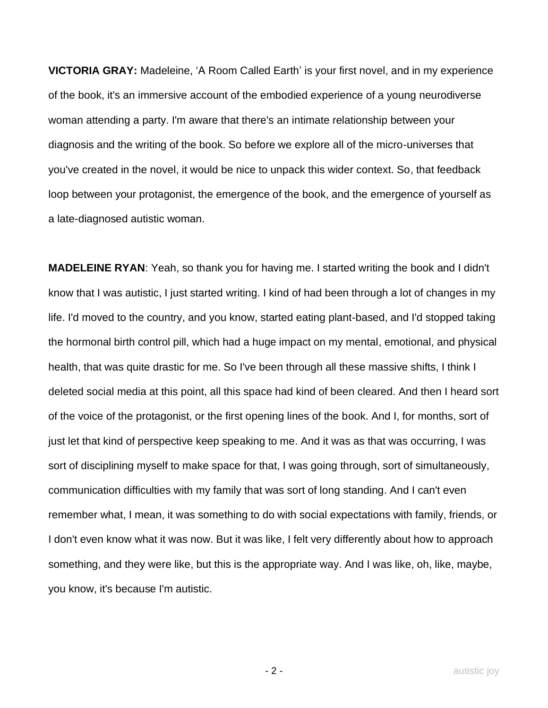**VICTORIA GRAY:** Madeleine, 'A Room Called Earth' is your first novel, and in my experience of the book, it's an immersive account of the embodied experience of a young neurodiverse woman attending a party. I'm aware that there's an intimate relationship between your diagnosis and the writing of the book. So before we explore all of the micro-universes that you've created in the novel, it would be nice to unpack this wider context. So, that feedback loop between your protagonist, the emergence of the book, and the emergence of yourself as a late-diagnosed autistic woman.

**MADELEINE RYAN**: Yeah, so thank you for having me. I started writing the book and I didn't know that I was autistic, I just started writing. I kind of had been through a lot of changes in my life. I'd moved to the country, and you know, started eating plant-based, and I'd stopped taking the hormonal birth control pill, which had a huge impact on my mental, emotional, and physical health, that was quite drastic for me. So I've been through all these massive shifts, I think I deleted social media at this point, all this space had kind of been cleared. And then I heard sort of the voice of the protagonist, or the first opening lines of the book. And I, for months, sort of just let that kind of perspective keep speaking to me. And it was as that was occurring, I was sort of disciplining myself to make space for that, I was going through, sort of simultaneously, communication difficulties with my family that was sort of long standing. And I can't even remember what, I mean, it was something to do with social expectations with family, friends, or I don't even know what it was now. But it was like, I felt very differently about how to approach something, and they were like, but this is the appropriate way. And I was like, oh, like, maybe, you know, it's because I'm autistic.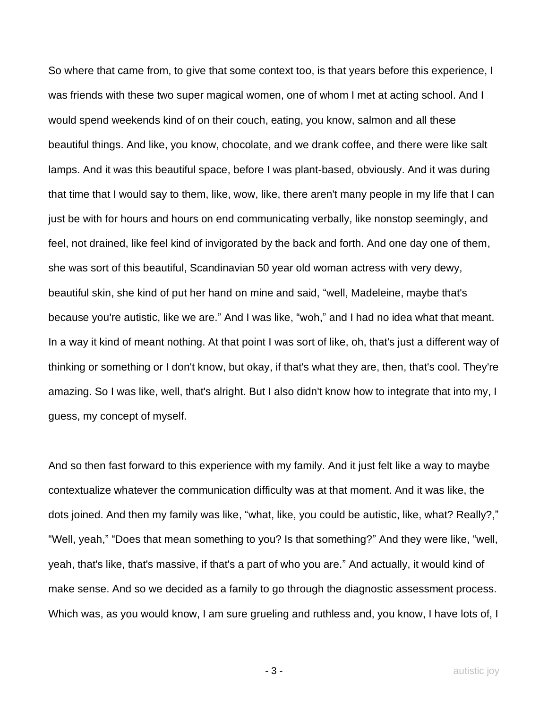So where that came from, to give that some context too, is that years before this experience, I was friends with these two super magical women, one of whom I met at acting school. And I would spend weekends kind of on their couch, eating, you know, salmon and all these beautiful things. And like, you know, chocolate, and we drank coffee, and there were like salt lamps. And it was this beautiful space, before I was plant-based, obviously. And it was during that time that I would say to them, like, wow, like, there aren't many people in my life that I can just be with for hours and hours on end communicating verbally, like nonstop seemingly, and feel, not drained, like feel kind of invigorated by the back and forth. And one day one of them, she was sort of this beautiful, Scandinavian 50 year old woman actress with very dewy, beautiful skin, she kind of put her hand on mine and said, "well, Madeleine, maybe that's because you're autistic, like we are." And I was like, "woh," and I had no idea what that meant. In a way it kind of meant nothing. At that point I was sort of like, oh, that's just a different way of thinking or something or I don't know, but okay, if that's what they are, then, that's cool. They're amazing. So I was like, well, that's alright. But I also didn't know how to integrate that into my, I guess, my concept of myself.

And so then fast forward to this experience with my family. And it just felt like a way to maybe contextualize whatever the communication difficulty was at that moment. And it was like, the dots joined. And then my family was like, "what, like, you could be autistic, like, what? Really?," "Well, yeah," "Does that mean something to you? Is that something?" And they were like, "well, yeah, that's like, that's massive, if that's a part of who you are." And actually, it would kind of make sense. And so we decided as a family to go through the diagnostic assessment process. Which was, as you would know, I am sure grueling and ruthless and, you know, I have lots of, I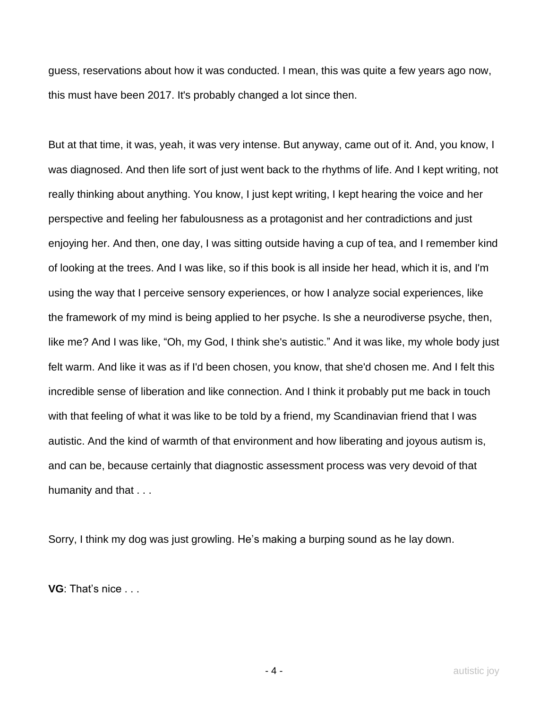guess, reservations about how it was conducted. I mean, this was quite a few years ago now, this must have been 2017. It's probably changed a lot since then.

But at that time, it was, yeah, it was very intense. But anyway, came out of it. And, you know, I was diagnosed. And then life sort of just went back to the rhythms of life. And I kept writing, not really thinking about anything. You know, I just kept writing, I kept hearing the voice and her perspective and feeling her fabulousness as a protagonist and her contradictions and just enjoying her. And then, one day, I was sitting outside having a cup of tea, and I remember kind of looking at the trees. And I was like, so if this book is all inside her head, which it is, and I'm using the way that I perceive sensory experiences, or how I analyze social experiences, like the framework of my mind is being applied to her psyche. Is she a neurodiverse psyche, then, like me? And I was like, "Oh, my God, I think she's autistic." And it was like, my whole body just felt warm. And like it was as if I'd been chosen, you know, that she'd chosen me. And I felt this incredible sense of liberation and like connection. And I think it probably put me back in touch with that feeling of what it was like to be told by a friend, my Scandinavian friend that I was autistic. And the kind of warmth of that environment and how liberating and joyous autism is, and can be, because certainly that diagnostic assessment process was very devoid of that humanity and that . . .

Sorry, I think my dog was just growling. He's making a burping sound as he lay down.

**VG**: That's nice . . .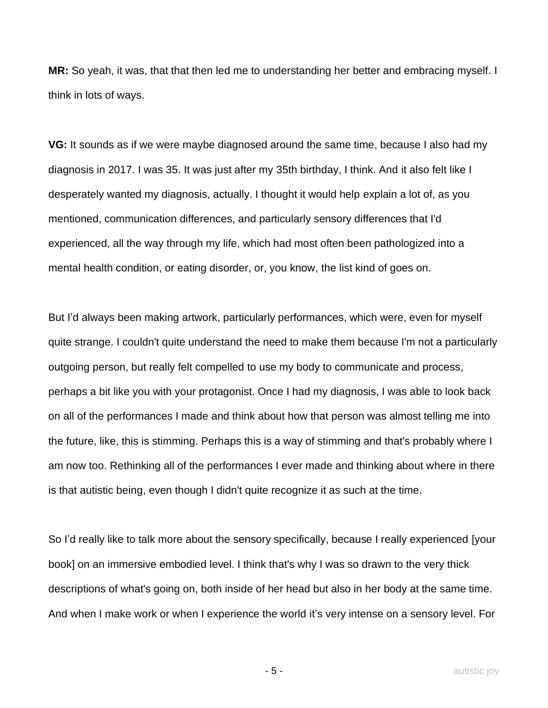**MR:** So yeah, it was, that that then led me to understanding her better and embracing myself. I think in lots of ways.

**VG:** It sounds as if we were maybe diagnosed around the same time, because I also had my diagnosis in 2017. I was 35. It was just after my 35th birthday, I think. And it also felt like I desperately wanted my diagnosis, actually. I thought it would help explain a lot of, as you mentioned, communication differences, and particularly sensory differences that I'd experienced, all the way through my life, which had most often been pathologized into a mental health condition, or eating disorder, or, you know, the list kind of goes on.

But I'd always been making artwork, particularly performances, which were, even for myself quite strange. I couldn't quite understand the need to make them because I'm not a particularly outgoing person, but really felt compelled to use my body to communicate and process, perhaps a bit like you with your protagonist. Once I had my diagnosis, I was able to look back on all of the performances I made and think about how that person was almost telling me into the future, like, this is stimming. Perhaps this is a way of stimming and that's probably where I am now too. Rethinking all of the performances I ever made and thinking about where in there is that autistic being, even though I didn't quite recognize it as such at the time.

So I'd really like to talk more about the sensory specifically, because I really experienced [your book] on an immersive embodied level. I think that's why I was so drawn to the very thick descriptions of what's going on, both inside of her head but also in her body at the same time. And when I make work or when I experience the world it's very intense on a sensory level. For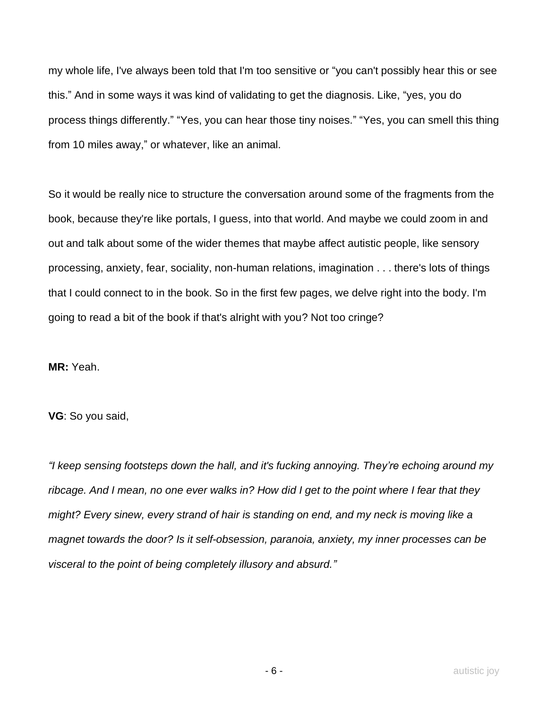my whole life, I've always been told that I'm too sensitive or "you can't possibly hear this or see this." And in some ways it was kind of validating to get the diagnosis. Like, "yes, you do process things differently." "Yes, you can hear those tiny noises." "Yes, you can smell this thing from 10 miles away," or whatever, like an animal.

So it would be really nice to structure the conversation around some of the fragments from the book, because they're like portals, I guess, into that world. And maybe we could zoom in and out and talk about some of the wider themes that maybe affect autistic people, like sensory processing, anxiety, fear, sociality, non-human relations, imagination . . . there's lots of things that I could connect to in the book. So in the first few pages, we delve right into the body. I'm going to read a bit of the book if that's alright with you? Not too cringe?

**MR:** Yeah.

**VG**: So you said,

*"I keep sensing footsteps down the hall, and it's fucking annoying. They're echoing around my ribcage. And I mean, no one ever walks in? How did I get to the point where I fear that they might? Every sinew, every strand of hair is standing on end, and my neck is moving like a magnet towards the door? Is it self-obsession, paranoia, anxiety, my inner processes can be visceral to the point of being completely illusory and absurd."*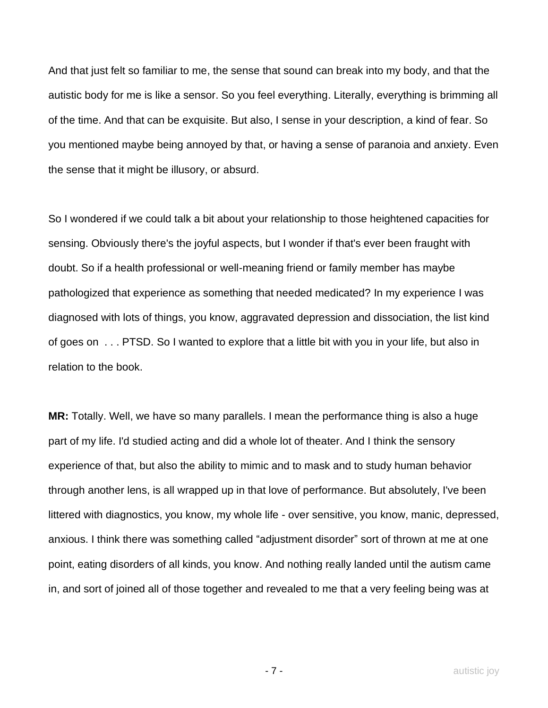And that just felt so familiar to me, the sense that sound can break into my body, and that the autistic body for me is like a sensor. So you feel everything. Literally, everything is brimming all of the time. And that can be exquisite. But also, I sense in your description, a kind of fear. So you mentioned maybe being annoyed by that, or having a sense of paranoia and anxiety. Even the sense that it might be illusory, or absurd.

So I wondered if we could talk a bit about your relationship to those heightened capacities for sensing. Obviously there's the joyful aspects, but I wonder if that's ever been fraught with doubt. So if a health professional or well-meaning friend or family member has maybe pathologized that experience as something that needed medicated? In my experience I was diagnosed with lots of things, you know, aggravated depression and dissociation, the list kind of goes on . . . PTSD. So I wanted to explore that a little bit with you in your life, but also in relation to the book.

**MR:** Totally. Well, we have so many parallels. I mean the performance thing is also a huge part of my life. I'd studied acting and did a whole lot of theater. And I think the sensory experience of that, but also the ability to mimic and to mask and to study human behavior through another lens, is all wrapped up in that love of performance. But absolutely, I've been littered with diagnostics, you know, my whole life - over sensitive, you know, manic, depressed, anxious. I think there was something called "adjustment disorder" sort of thrown at me at one point, eating disorders of all kinds, you know. And nothing really landed until the autism came in, and sort of joined all of those together and revealed to me that a very feeling being was at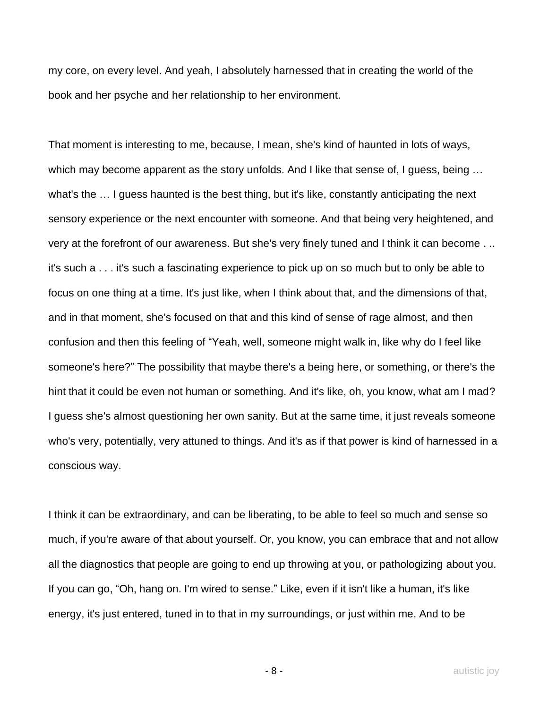my core, on every level. And yeah, I absolutely harnessed that in creating the world of the book and her psyche and her relationship to her environment.

That moment is interesting to me, because, I mean, she's kind of haunted in lots of ways, which may become apparent as the story unfolds. And I like that sense of, I guess, being … what's the … I guess haunted is the best thing, but it's like, constantly anticipating the next sensory experience or the next encounter with someone. And that being very heightened, and very at the forefront of our awareness. But she's very finely tuned and I think it can become . .. it's such a . . . it's such a fascinating experience to pick up on so much but to only be able to focus on one thing at a time. It's just like, when I think about that, and the dimensions of that, and in that moment, she's focused on that and this kind of sense of rage almost, and then confusion and then this feeling of "Yeah, well, someone might walk in, like why do I feel like someone's here?" The possibility that maybe there's a being here, or something, or there's the hint that it could be even not human or something. And it's like, oh, you know, what am I mad? I guess she's almost questioning her own sanity. But at the same time, it just reveals someone who's very, potentially, very attuned to things. And it's as if that power is kind of harnessed in a conscious way.

I think it can be extraordinary, and can be liberating, to be able to feel so much and sense so much, if you're aware of that about yourself. Or, you know, you can embrace that and not allow all the diagnostics that people are going to end up throwing at you, or pathologizing about you. If you can go, "Oh, hang on. I'm wired to sense." Like, even if it isn't like a human, it's like energy, it's just entered, tuned in to that in my surroundings, or just within me. And to be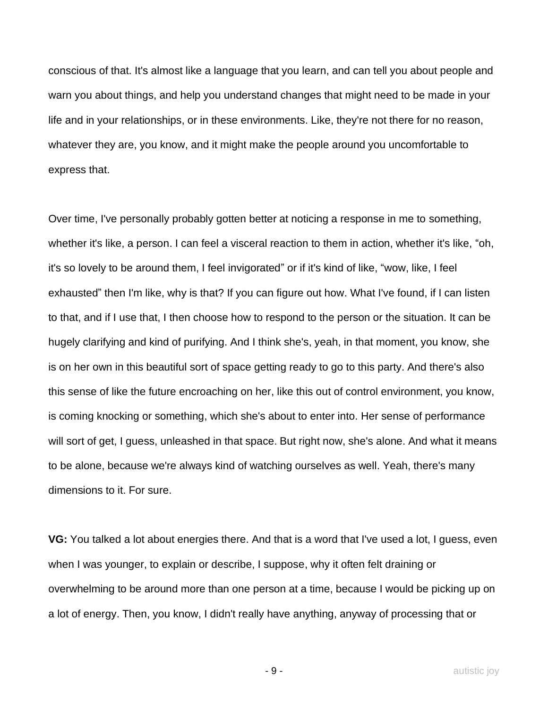conscious of that. It's almost like a language that you learn, and can tell you about people and warn you about things, and help you understand changes that might need to be made in your life and in your relationships, or in these environments. Like, they're not there for no reason, whatever they are, you know, and it might make the people around you uncomfortable to express that.

Over time, I've personally probably gotten better at noticing a response in me to something, whether it's like, a person. I can feel a visceral reaction to them in action, whether it's like, "oh, it's so lovely to be around them, I feel invigorated" or if it's kind of like, "wow, like, I feel exhausted" then I'm like, why is that? If you can figure out how. What I've found, if I can listen to that, and if I use that, I then choose how to respond to the person or the situation. It can be hugely clarifying and kind of purifying. And I think she's, yeah, in that moment, you know, she is on her own in this beautiful sort of space getting ready to go to this party. And there's also this sense of like the future encroaching on her, like this out of control environment, you know, is coming knocking or something, which she's about to enter into. Her sense of performance will sort of get, I guess, unleashed in that space. But right now, she's alone. And what it means to be alone, because we're always kind of watching ourselves as well. Yeah, there's many dimensions to it. For sure.

**VG:** You talked a lot about energies there. And that is a word that I've used a lot, I guess, even when I was younger, to explain or describe, I suppose, why it often felt draining or overwhelming to be around more than one person at a time, because I would be picking up on a lot of energy. Then, you know, I didn't really have anything, anyway of processing that or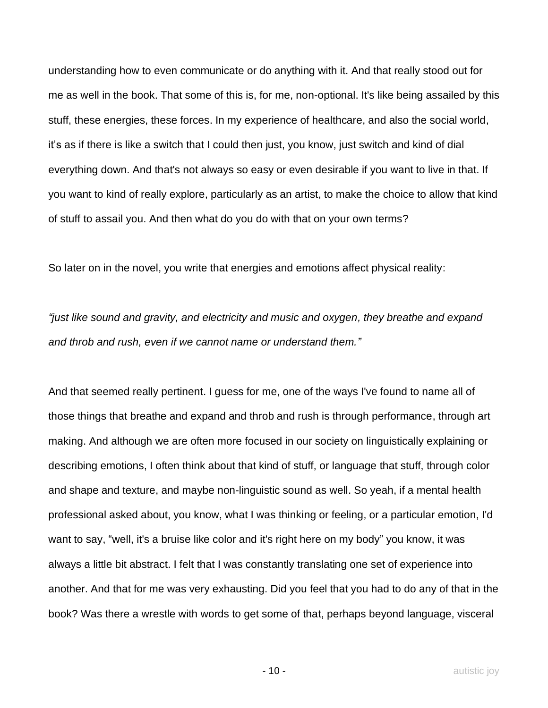understanding how to even communicate or do anything with it. And that really stood out for me as well in the book. That some of this is, for me, non-optional. It's like being assailed by this stuff, these energies, these forces. In my experience of healthcare, and also the social world, it's as if there is like a switch that I could then just, you know, just switch and kind of dial everything down. And that's not always so easy or even desirable if you want to live in that. If you want to kind of really explore, particularly as an artist, to make the choice to allow that kind of stuff to assail you. And then what do you do with that on your own terms?

So later on in the novel, you write that energies and emotions affect physical reality:

*"just like sound and gravity, and electricity and music and oxygen, they breathe and expand and throb and rush, even if we cannot name or understand them."*

And that seemed really pertinent. I guess for me, one of the ways I've found to name all of those things that breathe and expand and throb and rush is through performance, through art making. And although we are often more focused in our society on linguistically explaining or describing emotions, I often think about that kind of stuff, or language that stuff, through color and shape and texture, and maybe non-linguistic sound as well. So yeah, if a mental health professional asked about, you know, what I was thinking or feeling, or a particular emotion, I'd want to say, "well, it's a bruise like color and it's right here on my body" you know, it was always a little bit abstract. I felt that I was constantly translating one set of experience into another. And that for me was very exhausting. Did you feel that you had to do any of that in the book? Was there a wrestle with words to get some of that, perhaps beyond language, visceral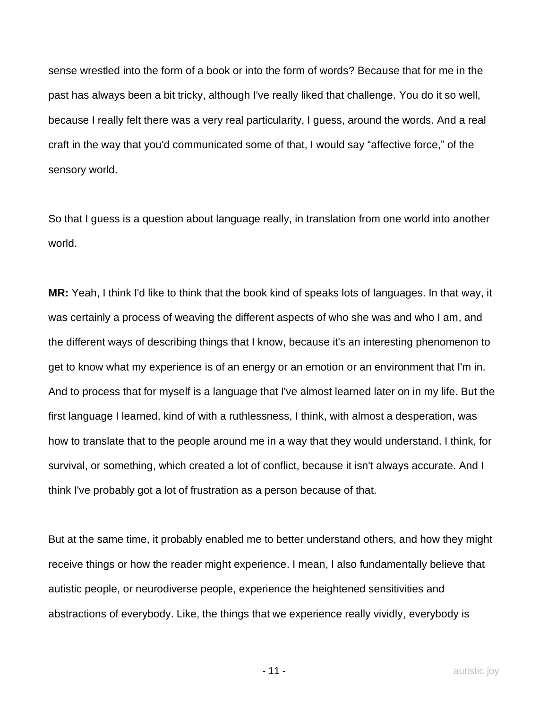sense wrestled into the form of a book or into the form of words? Because that for me in the past has always been a bit tricky, although I've really liked that challenge. You do it so well, because I really felt there was a very real particularity, I guess, around the words. And a real craft in the way that you'd communicated some of that, I would say "affective force," of the sensory world.

So that I guess is a question about language really, in translation from one world into another world.

**MR:** Yeah, I think I'd like to think that the book kind of speaks lots of languages. In that way, it was certainly a process of weaving the different aspects of who she was and who I am, and the different ways of describing things that I know, because it's an interesting phenomenon to get to know what my experience is of an energy or an emotion or an environment that I'm in. And to process that for myself is a language that I've almost learned later on in my life. But the first language I learned, kind of with a ruthlessness, I think, with almost a desperation, was how to translate that to the people around me in a way that they would understand. I think, for survival, or something, which created a lot of conflict, because it isn't always accurate. And I think I've probably got a lot of frustration as a person because of that.

But at the same time, it probably enabled me to better understand others, and how they might receive things or how the reader might experience. I mean, I also fundamentally believe that autistic people, or neurodiverse people, experience the heightened sensitivities and abstractions of everybody. Like, the things that we experience really vividly, everybody is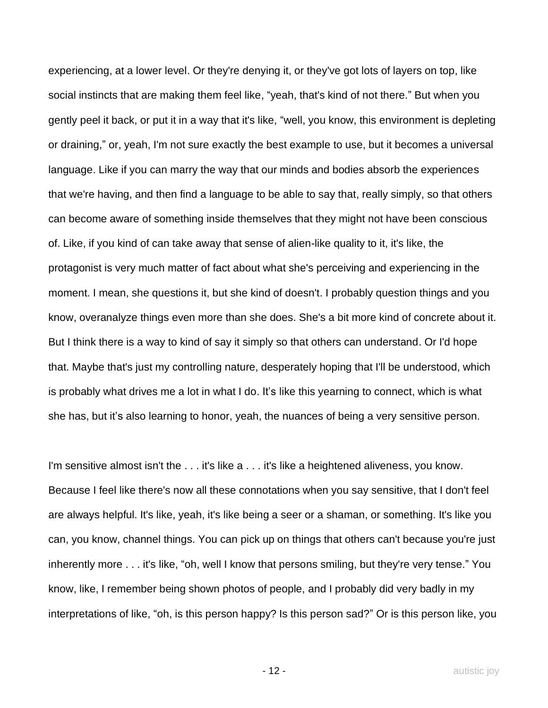experiencing, at a lower level. Or they're denying it, or they've got lots of layers on top, like social instincts that are making them feel like, "yeah, that's kind of not there." But when you gently peel it back, or put it in a way that it's like, "well, you know, this environment is depleting or draining," or, yeah, I'm not sure exactly the best example to use, but it becomes a universal language. Like if you can marry the way that our minds and bodies absorb the experiences that we're having, and then find a language to be able to say that, really simply, so that others can become aware of something inside themselves that they might not have been conscious of. Like, if you kind of can take away that sense of alien-like quality to it, it's like, the protagonist is very much matter of fact about what she's perceiving and experiencing in the moment. I mean, she questions it, but she kind of doesn't. I probably question things and you know, overanalyze things even more than she does. She's a bit more kind of concrete about it. But I think there is a way to kind of say it simply so that others can understand. Or I'd hope that. Maybe that's just my controlling nature, desperately hoping that I'll be understood, which is probably what drives me a lot in what I do. It's like this yearning to connect, which is what she has, but it's also learning to honor, yeah, the nuances of being a very sensitive person.

I'm sensitive almost isn't the . . . it's like a . . . it's like a heightened aliveness, you know. Because I feel like there's now all these connotations when you say sensitive, that I don't feel are always helpful. It's like, yeah, it's like being a seer or a shaman, or something. It's like you can, you know, channel things. You can pick up on things that others can't because you're just inherently more . . . it's like, "oh, well I know that persons smiling, but they're very tense." You know, like, I remember being shown photos of people, and I probably did very badly in my interpretations of like, "oh, is this person happy? Is this person sad?" Or is this person like, you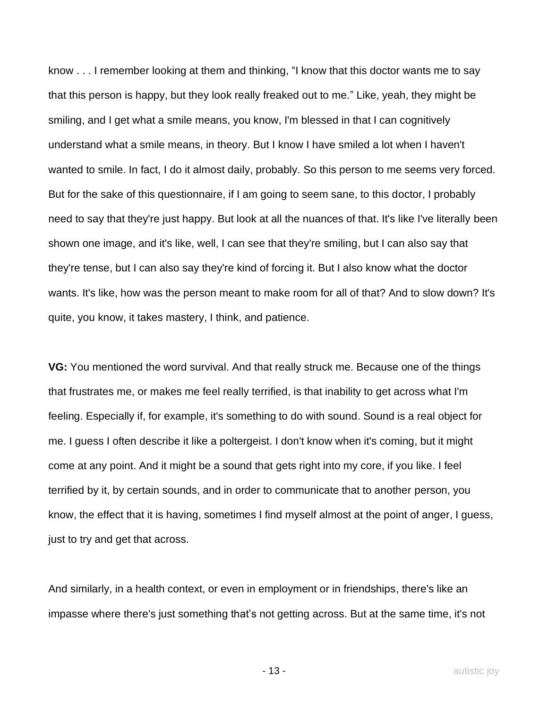know . . . I remember looking at them and thinking, "I know that this doctor wants me to say that this person is happy, but they look really freaked out to me." Like, yeah, they might be smiling, and I get what a smile means, you know, I'm blessed in that I can cognitively understand what a smile means, in theory. But I know I have smiled a lot when I haven't wanted to smile. In fact, I do it almost daily, probably. So this person to me seems very forced. But for the sake of this questionnaire, if I am going to seem sane, to this doctor, I probably need to say that they're just happy. But look at all the nuances of that. It's like I've literally been shown one image, and it's like, well, I can see that they're smiling, but I can also say that they're tense, but I can also say they're kind of forcing it. But I also know what the doctor wants. It's like, how was the person meant to make room for all of that? And to slow down? It's quite, you know, it takes mastery, I think, and patience.

**VG:** You mentioned the word survival. And that really struck me. Because one of the things that frustrates me, or makes me feel really terrified, is that inability to get across what I'm feeling. Especially if, for example, it's something to do with sound. Sound is a real object for me. I guess I often describe it like a poltergeist. I don't know when it's coming, but it might come at any point. And it might be a sound that gets right into my core, if you like. I feel terrified by it, by certain sounds, and in order to communicate that to another person, you know, the effect that it is having, sometimes I find myself almost at the point of anger, I guess, just to try and get that across.

And similarly, in a health context, or even in employment or in friendships, there's like an impasse where there's just something that's not getting across. But at the same time, it's not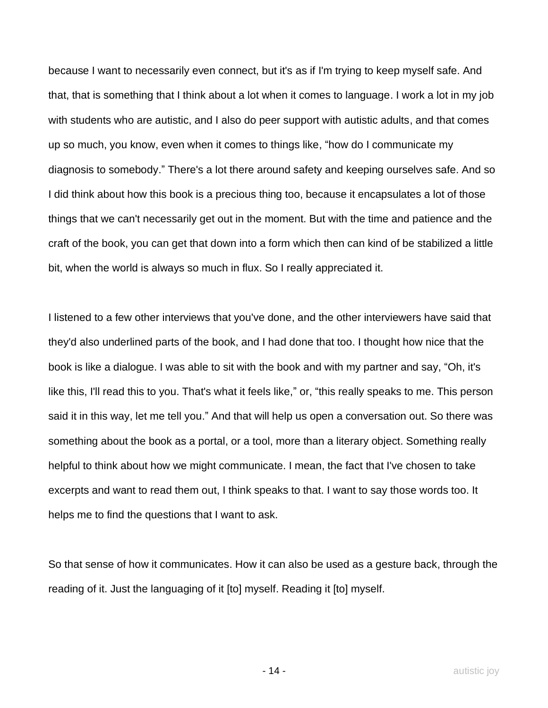because I want to necessarily even connect, but it's as if I'm trying to keep myself safe. And that, that is something that I think about a lot when it comes to language. I work a lot in my job with students who are autistic, and I also do peer support with autistic adults, and that comes up so much, you know, even when it comes to things like, "how do I communicate my diagnosis to somebody." There's a lot there around safety and keeping ourselves safe. And so I did think about how this book is a precious thing too, because it encapsulates a lot of those things that we can't necessarily get out in the moment. But with the time and patience and the craft of the book, you can get that down into a form which then can kind of be stabilized a little bit, when the world is always so much in flux. So I really appreciated it.

I listened to a few other interviews that you've done, and the other interviewers have said that they'd also underlined parts of the book, and I had done that too. I thought how nice that the book is like a dialogue. I was able to sit with the book and with my partner and say, "Oh, it's like this, I'll read this to you. That's what it feels like," or, "this really speaks to me. This person said it in this way, let me tell you." And that will help us open a conversation out. So there was something about the book as a portal, or a tool, more than a literary object. Something really helpful to think about how we might communicate. I mean, the fact that I've chosen to take excerpts and want to read them out, I think speaks to that. I want to say those words too. It helps me to find the questions that I want to ask.

So that sense of how it communicates. How it can also be used as a gesture back, through the reading of it. Just the languaging of it [to] myself. Reading it [to] myself.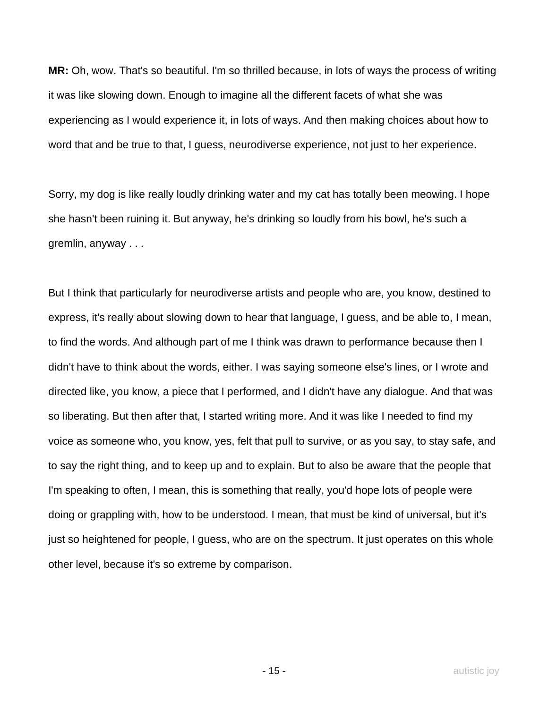**MR:** Oh, wow. That's so beautiful. I'm so thrilled because, in lots of ways the process of writing it was like slowing down. Enough to imagine all the different facets of what she was experiencing as I would experience it, in lots of ways. And then making choices about how to word that and be true to that, I guess, neurodiverse experience, not just to her experience.

Sorry, my dog is like really loudly drinking water and my cat has totally been meowing. I hope she hasn't been ruining it. But anyway, he's drinking so loudly from his bowl, he's such a gremlin, anyway . . .

But I think that particularly for neurodiverse artists and people who are, you know, destined to express, it's really about slowing down to hear that language, I guess, and be able to, I mean, to find the words. And although part of me I think was drawn to performance because then I didn't have to think about the words, either. I was saying someone else's lines, or I wrote and directed like, you know, a piece that I performed, and I didn't have any dialogue. And that was so liberating. But then after that, I started writing more. And it was like I needed to find my voice as someone who, you know, yes, felt that pull to survive, or as you say, to stay safe, and to say the right thing, and to keep up and to explain. But to also be aware that the people that I'm speaking to often, I mean, this is something that really, you'd hope lots of people were doing or grappling with, how to be understood. I mean, that must be kind of universal, but it's just so heightened for people, I guess, who are on the spectrum. It just operates on this whole other level, because it's so extreme by comparison.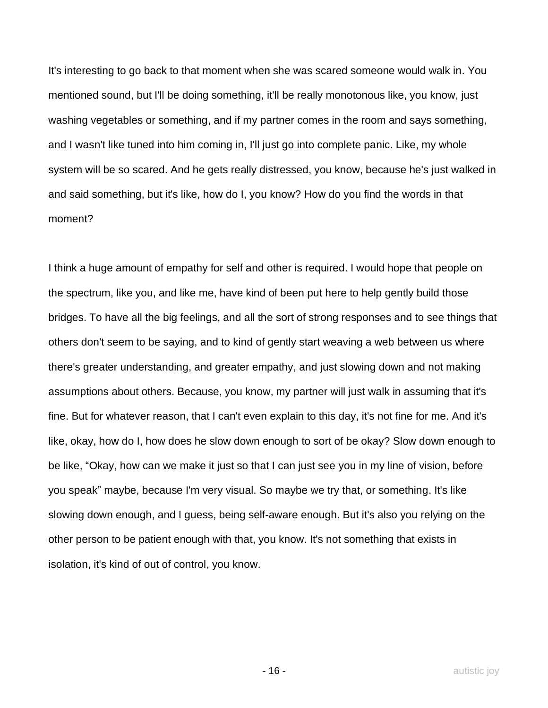It's interesting to go back to that moment when she was scared someone would walk in. You mentioned sound, but I'll be doing something, it'll be really monotonous like, you know, just washing vegetables or something, and if my partner comes in the room and says something, and I wasn't like tuned into him coming in, I'll just go into complete panic. Like, my whole system will be so scared. And he gets really distressed, you know, because he's just walked in and said something, but it's like, how do I, you know? How do you find the words in that moment?

I think a huge amount of empathy for self and other is required. I would hope that people on the spectrum, like you, and like me, have kind of been put here to help gently build those bridges. To have all the big feelings, and all the sort of strong responses and to see things that others don't seem to be saying, and to kind of gently start weaving a web between us where there's greater understanding, and greater empathy, and just slowing down and not making assumptions about others. Because, you know, my partner will just walk in assuming that it's fine. But for whatever reason, that I can't even explain to this day, it's not fine for me. And it's like, okay, how do I, how does he slow down enough to sort of be okay? Slow down enough to be like, "Okay, how can we make it just so that I can just see you in my line of vision, before you speak" maybe, because I'm very visual. So maybe we try that, or something. It's like slowing down enough, and I guess, being self-aware enough. But it's also you relying on the other person to be patient enough with that, you know. It's not something that exists in isolation, it's kind of out of control, you know.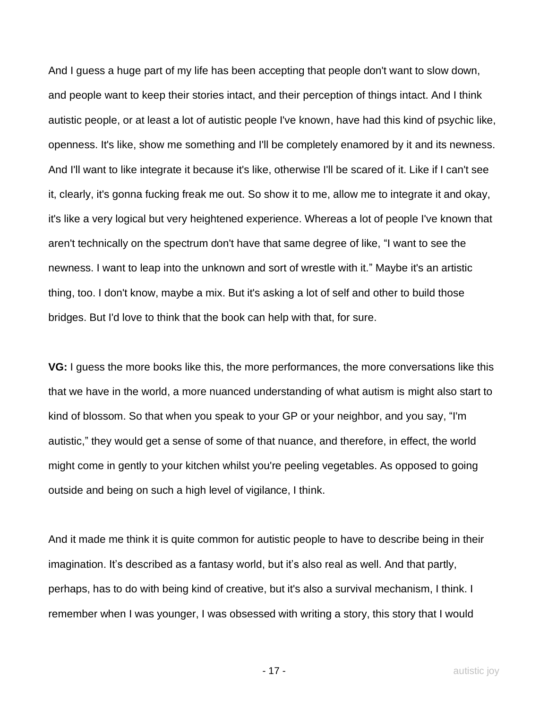And I guess a huge part of my life has been accepting that people don't want to slow down, and people want to keep their stories intact, and their perception of things intact. And I think autistic people, or at least a lot of autistic people I've known, have had this kind of psychic like, openness. It's like, show me something and I'll be completely enamored by it and its newness. And I'll want to like integrate it because it's like, otherwise I'll be scared of it. Like if I can't see it, clearly, it's gonna fucking freak me out. So show it to me, allow me to integrate it and okay, it's like a very logical but very heightened experience. Whereas a lot of people I've known that aren't technically on the spectrum don't have that same degree of like, "I want to see the newness. I want to leap into the unknown and sort of wrestle with it." Maybe it's an artistic thing, too. I don't know, maybe a mix. But it's asking a lot of self and other to build those bridges. But I'd love to think that the book can help with that, for sure.

**VG:** I guess the more books like this, the more performances, the more conversations like this that we have in the world, a more nuanced understanding of what autism is might also start to kind of blossom. So that when you speak to your GP or your neighbor, and you say, "I'm autistic," they would get a sense of some of that nuance, and therefore, in effect, the world might come in gently to your kitchen whilst you're peeling vegetables. As opposed to going outside and being on such a high level of vigilance, I think.

And it made me think it is quite common for autistic people to have to describe being in their imagination. It's described as a fantasy world, but it's also real as well. And that partly, perhaps, has to do with being kind of creative, but it's also a survival mechanism, I think. I remember when I was younger, I was obsessed with writing a story, this story that I would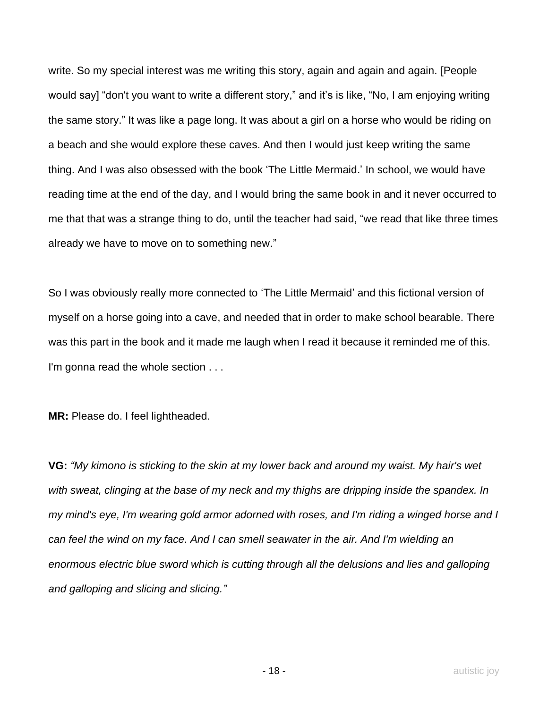write. So my special interest was me writing this story, again and again and again. [People would say] "don't you want to write a different story," and it's is like, "No, I am enjoying writing the same story." It was like a page long. It was about a girl on a horse who would be riding on a beach and she would explore these caves. And then I would just keep writing the same thing. And I was also obsessed with the book 'The Little Mermaid.' In school, we would have reading time at the end of the day, and I would bring the same book in and it never occurred to me that that was a strange thing to do, until the teacher had said, "we read that like three times already we have to move on to something new."

So I was obviously really more connected to 'The Little Mermaid' and this fictional version of myself on a horse going into a cave, and needed that in order to make school bearable. There was this part in the book and it made me laugh when I read it because it reminded me of this. I'm gonna read the whole section . . .

**MR:** Please do. I feel lightheaded.

**VG:** *"My kimono is sticking to the skin at my lower back and around my waist. My hair's wet with sweat, clinging at the base of my neck and my thighs are dripping inside the spandex. In my mind's eye, I'm wearing gold armor adorned with roses, and I'm riding a winged horse and I can feel the wind on my face. And I can smell seawater in the air. And I'm wielding an enormous electric blue sword which is cutting through all the delusions and lies and galloping and galloping and slicing and slicing."*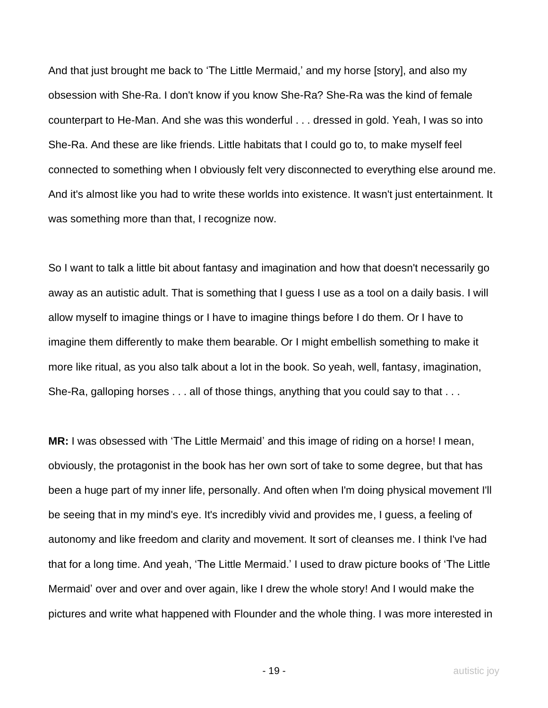And that just brought me back to 'The Little Mermaid,' and my horse [story], and also my obsession with She-Ra. I don't know if you know She-Ra? She-Ra was the kind of female counterpart to He-Man. And she was this wonderful . . . dressed in gold. Yeah, I was so into She-Ra. And these are like friends. Little habitats that I could go to, to make myself feel connected to something when I obviously felt very disconnected to everything else around me. And it's almost like you had to write these worlds into existence. It wasn't just entertainment. It was something more than that, I recognize now.

So I want to talk a little bit about fantasy and imagination and how that doesn't necessarily go away as an autistic adult. That is something that I guess I use as a tool on a daily basis. I will allow myself to imagine things or I have to imagine things before I do them. Or I have to imagine them differently to make them bearable. Or I might embellish something to make it more like ritual, as you also talk about a lot in the book. So yeah, well, fantasy, imagination, She-Ra, galloping horses . . . all of those things, anything that you could say to that . . .

**MR:** I was obsessed with 'The Little Mermaid' and this image of riding on a horse! I mean, obviously, the protagonist in the book has her own sort of take to some degree, but that has been a huge part of my inner life, personally. And often when I'm doing physical movement I'll be seeing that in my mind's eye. It's incredibly vivid and provides me, I guess, a feeling of autonomy and like freedom and clarity and movement. It sort of cleanses me. I think I've had that for a long time. And yeah, 'The Little Mermaid.' I used to draw picture books of 'The Little Mermaid' over and over and over again, like I drew the whole story! And I would make the pictures and write what happened with Flounder and the whole thing. I was more interested in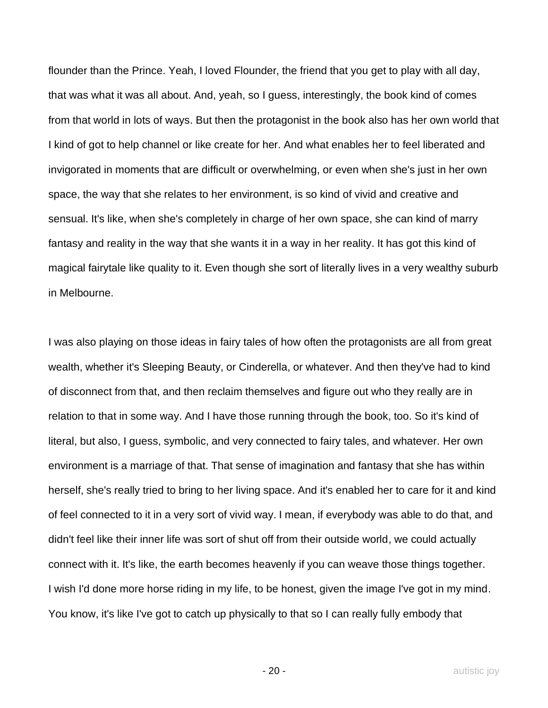flounder than the Prince. Yeah, I loved Flounder, the friend that you get to play with all day, that was what it was all about. And, yeah, so I guess, interestingly, the book kind of comes from that world in lots of ways. But then the protagonist in the book also has her own world that I kind of got to help channel or like create for her. And what enables her to feel liberated and invigorated in moments that are difficult or overwhelming, or even when she's just in her own space, the way that she relates to her environment, is so kind of vivid and creative and sensual. It's like, when she's completely in charge of her own space, she can kind of marry fantasy and reality in the way that she wants it in a way in her reality. It has got this kind of magical fairytale like quality to it. Even though she sort of literally lives in a very wealthy suburb in Melbourne.

I was also playing on those ideas in fairy tales of how often the protagonists are all from great wealth, whether it's Sleeping Beauty, or Cinderella, or whatever. And then they've had to kind of disconnect from that, and then reclaim themselves and figure out who they really are in relation to that in some way. And I have those running through the book, too. So it's kind of literal, but also, I guess, symbolic, and very connected to fairy tales, and whatever. Her own environment is a marriage of that. That sense of imagination and fantasy that she has within herself, she's really tried to bring to her living space. And it's enabled her to care for it and kind of feel connected to it in a very sort of vivid way. I mean, if everybody was able to do that, and didn't feel like their inner life was sort of shut off from their outside world, we could actually connect with it. It's like, the earth becomes heavenly if you can weave those things together. I wish I'd done more horse riding in my life, to be honest, given the image I've got in my mind. You know, it's like I've got to catch up physically to that so I can really fully embody that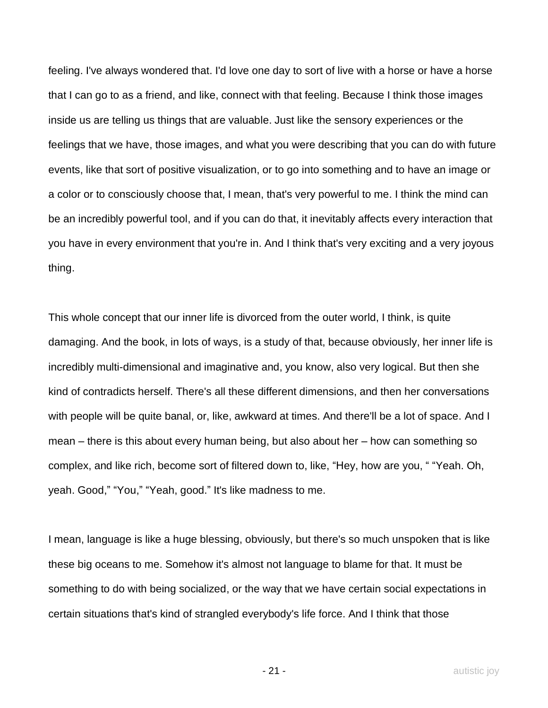feeling. I've always wondered that. I'd love one day to sort of live with a horse or have a horse that I can go to as a friend, and like, connect with that feeling. Because I think those images inside us are telling us things that are valuable. Just like the sensory experiences or the feelings that we have, those images, and what you were describing that you can do with future events, like that sort of positive visualization, or to go into something and to have an image or a color or to consciously choose that, I mean, that's very powerful to me. I think the mind can be an incredibly powerful tool, and if you can do that, it inevitably affects every interaction that you have in every environment that you're in. And I think that's very exciting and a very joyous thing.

This whole concept that our inner life is divorced from the outer world, I think, is quite damaging. And the book, in lots of ways, is a study of that, because obviously, her inner life is incredibly multi-dimensional and imaginative and, you know, also very logical. But then she kind of contradicts herself. There's all these different dimensions, and then her conversations with people will be quite banal, or, like, awkward at times. And there'll be a lot of space. And I mean – there is this about every human being, but also about her – how can something so complex, and like rich, become sort of filtered down to, like, "Hey, how are you, " "Yeah. Oh, yeah. Good," "You," "Yeah, good." It's like madness to me.

I mean, language is like a huge blessing, obviously, but there's so much unspoken that is like these big oceans to me. Somehow it's almost not language to blame for that. It must be something to do with being socialized, or the way that we have certain social expectations in certain situations that's kind of strangled everybody's life force. And I think that those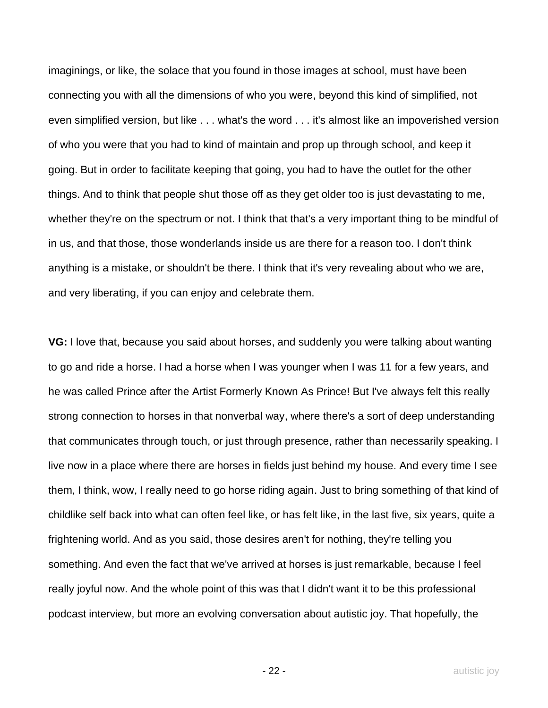imaginings, or like, the solace that you found in those images at school, must have been connecting you with all the dimensions of who you were, beyond this kind of simplified, not even simplified version, but like . . . what's the word . . . it's almost like an impoverished version of who you were that you had to kind of maintain and prop up through school, and keep it going. But in order to facilitate keeping that going, you had to have the outlet for the other things. And to think that people shut those off as they get older too is just devastating to me, whether they're on the spectrum or not. I think that that's a very important thing to be mindful of in us, and that those, those wonderlands inside us are there for a reason too. I don't think anything is a mistake, or shouldn't be there. I think that it's very revealing about who we are, and very liberating, if you can enjoy and celebrate them.

**VG:** I love that, because you said about horses, and suddenly you were talking about wanting to go and ride a horse. I had a horse when I was younger when I was 11 for a few years, and he was called Prince after the Artist Formerly Known As Prince! But I've always felt this really strong connection to horses in that nonverbal way, where there's a sort of deep understanding that communicates through touch, or just through presence, rather than necessarily speaking. I live now in a place where there are horses in fields just behind my house. And every time I see them, I think, wow, I really need to go horse riding again. Just to bring something of that kind of childlike self back into what can often feel like, or has felt like, in the last five, six years, quite a frightening world. And as you said, those desires aren't for nothing, they're telling you something. And even the fact that we've arrived at horses is just remarkable, because I feel really joyful now. And the whole point of this was that I didn't want it to be this professional podcast interview, but more an evolving conversation about autistic joy. That hopefully, the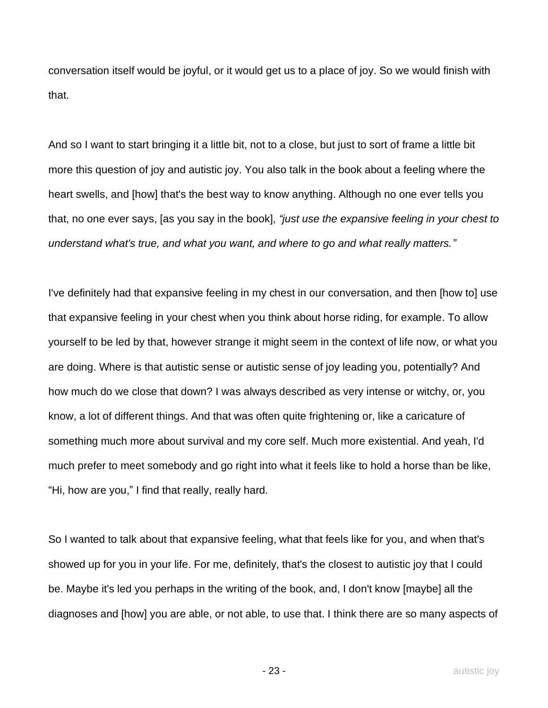conversation itself would be joyful, or it would get us to a place of joy. So we would finish with that.

And so I want to start bringing it a little bit, not to a close, but just to sort of frame a little bit more this question of joy and autistic joy. You also talk in the book about a feeling where the heart swells, and [how] that's the best way to know anything. Although no one ever tells you that, no one ever says, [as you say in the book], *"just use the expansive feeling in your chest to understand what's true, and what you want, and where to go and what really matters."*

I've definitely had that expansive feeling in my chest in our conversation, and then [how to] use that expansive feeling in your chest when you think about horse riding, for example. To allow yourself to be led by that, however strange it might seem in the context of life now, or what you are doing. Where is that autistic sense or autistic sense of joy leading you, potentially? And how much do we close that down? I was always described as very intense or witchy, or, you know, a lot of different things. And that was often quite frightening or, like a caricature of something much more about survival and my core self. Much more existential. And yeah, I'd much prefer to meet somebody and go right into what it feels like to hold a horse than be like, "Hi, how are you," I find that really, really hard.

So I wanted to talk about that expansive feeling, what that feels like for you, and when that's showed up for you in your life. For me, definitely, that's the closest to autistic joy that I could be. Maybe it's led you perhaps in the writing of the book, and, I don't know [maybe] all the diagnoses and [how] you are able, or not able, to use that. I think there are so many aspects of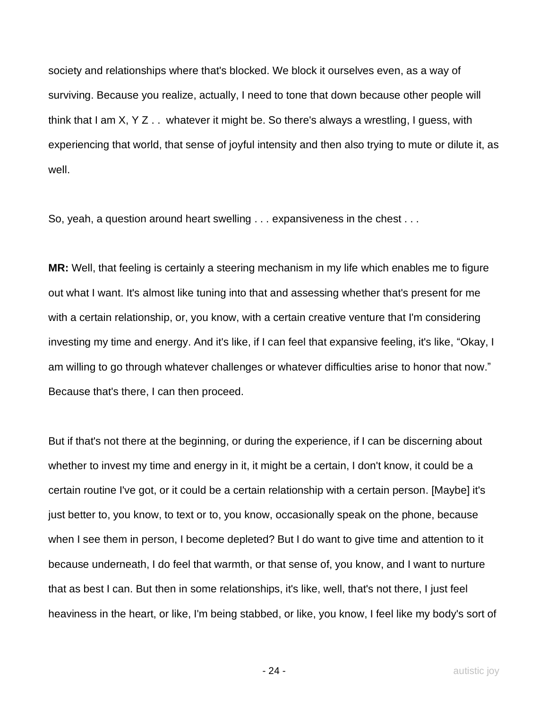society and relationships where that's blocked. We block it ourselves even, as a way of surviving. Because you realize, actually, I need to tone that down because other people will think that I am X, Y Z . . whatever it might be. So there's always a wrestling, I guess, with experiencing that world, that sense of joyful intensity and then also trying to mute or dilute it, as well.

So, yeah, a question around heart swelling . . . expansiveness in the chest . . .

**MR:** Well, that feeling is certainly a steering mechanism in my life which enables me to figure out what I want. It's almost like tuning into that and assessing whether that's present for me with a certain relationship, or, you know, with a certain creative venture that I'm considering investing my time and energy. And it's like, if I can feel that expansive feeling, it's like, "Okay, I am willing to go through whatever challenges or whatever difficulties arise to honor that now." Because that's there, I can then proceed.

But if that's not there at the beginning, or during the experience, if I can be discerning about whether to invest my time and energy in it, it might be a certain, I don't know, it could be a certain routine I've got, or it could be a certain relationship with a certain person. [Maybe] it's just better to, you know, to text or to, you know, occasionally speak on the phone, because when I see them in person, I become depleted? But I do want to give time and attention to it because underneath, I do feel that warmth, or that sense of, you know, and I want to nurture that as best I can. But then in some relationships, it's like, well, that's not there, I just feel heaviness in the heart, or like, I'm being stabbed, or like, you know, I feel like my body's sort of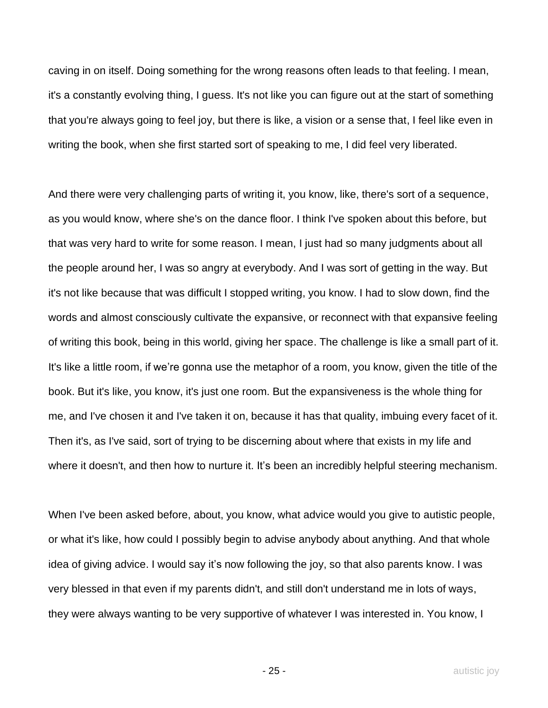caving in on itself. Doing something for the wrong reasons often leads to that feeling. I mean, it's a constantly evolving thing, I guess. It's not like you can figure out at the start of something that you're always going to feel joy, but there is like, a vision or a sense that, I feel like even in writing the book, when she first started sort of speaking to me, I did feel very liberated.

And there were very challenging parts of writing it, you know, like, there's sort of a sequence, as you would know, where she's on the dance floor. I think I've spoken about this before, but that was very hard to write for some reason. I mean, I just had so many judgments about all the people around her, I was so angry at everybody. And I was sort of getting in the way. But it's not like because that was difficult I stopped writing, you know. I had to slow down, find the words and almost consciously cultivate the expansive, or reconnect with that expansive feeling of writing this book, being in this world, giving her space. The challenge is like a small part of it. It's like a little room, if we're gonna use the metaphor of a room, you know, given the title of the book. But it's like, you know, it's just one room. But the expansiveness is the whole thing for me, and I've chosen it and I've taken it on, because it has that quality, imbuing every facet of it. Then it's, as I've said, sort of trying to be discerning about where that exists in my life and where it doesn't, and then how to nurture it. It's been an incredibly helpful steering mechanism.

When I've been asked before, about, you know, what advice would you give to autistic people, or what it's like, how could I possibly begin to advise anybody about anything. And that whole idea of giving advice. I would say it's now following the joy, so that also parents know. I was very blessed in that even if my parents didn't, and still don't understand me in lots of ways, they were always wanting to be very supportive of whatever I was interested in. You know, I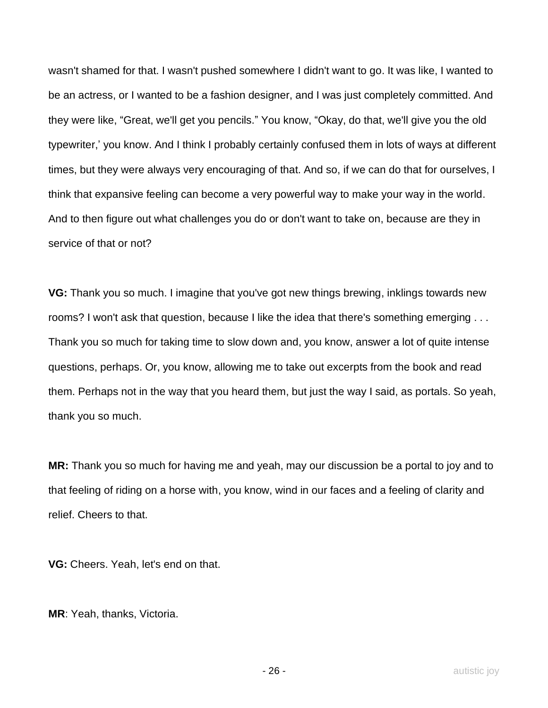wasn't shamed for that. I wasn't pushed somewhere I didn't want to go. It was like, I wanted to be an actress, or I wanted to be a fashion designer, and I was just completely committed. And they were like, "Great, we'll get you pencils." You know, "Okay, do that, we'll give you the old typewriter,' you know. And I think I probably certainly confused them in lots of ways at different times, but they were always very encouraging of that. And so, if we can do that for ourselves, I think that expansive feeling can become a very powerful way to make your way in the world. And to then figure out what challenges you do or don't want to take on, because are they in service of that or not?

**VG:** Thank you so much. I imagine that you've got new things brewing, inklings towards new rooms? I won't ask that question, because I like the idea that there's something emerging . . . Thank you so much for taking time to slow down and, you know, answer a lot of quite intense questions, perhaps. Or, you know, allowing me to take out excerpts from the book and read them. Perhaps not in the way that you heard them, but just the way I said, as portals. So yeah, thank you so much.

**MR:** Thank you so much for having me and yeah, may our discussion be a portal to joy and to that feeling of riding on a horse with, you know, wind in our faces and a feeling of clarity and relief. Cheers to that.

**VG:** Cheers. Yeah, let's end on that.

**MR**: Yeah, thanks, Victoria.